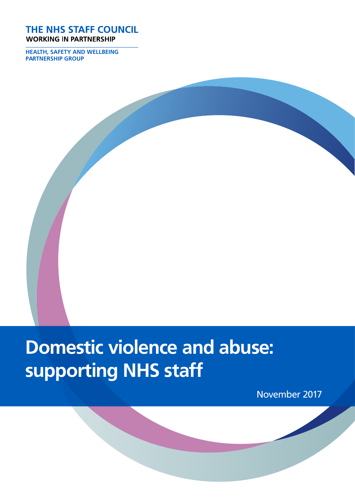#### THE NHS STAFF COUNCIL **WORKING IN PARTNERSHIP**

**HEALTH, SAFETY AND WELLBEING PARTNERSHIP GROUP**

# **Domestic violence and abuse: supporting NHS staff**

November 2017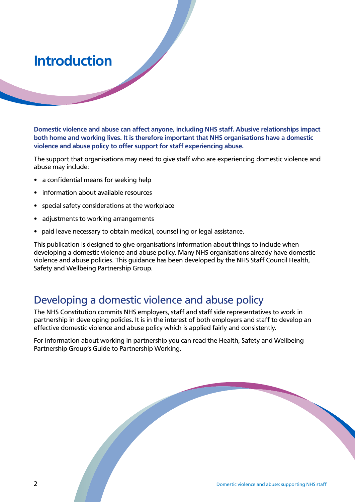## **Introduction**

**Domestic violence and abuse can affect anyone, including NHS staff. Abusive relationships impact both home and working lives. It is therefore important that NHS organisations have a domestic violence and abuse policy to offer support for staff experiencing abuse.** 

The support that organisations may need to give staff who are experiencing domestic violence and abuse may include:

- a confidential means for seeking help
- information about available resources
- special safety considerations at the workplace
- adjustments to working arrangements
- paid leave necessary to obtain medical, counselling or legal assistance.

This publication is designed to give organisations information about things to include when developing a domestic violence and abuse policy. Many NHS organisations already have domestic violence and abuse policies. This guidance has been developed by the NHS Staff Council Health, Safety and Wellbeing Partnership Group.

#### Developing a domestic violence and abuse policy

The NHS Constitution commits NHS employers, staff and staff side representatives to work in partnership in developing policies. It is in the interest of both employers and staff to develop an effective domestic violence and abuse policy which is applied fairly and consistently.

For information about working in partnership you can read the Health, Safety and Wellbeing Partnership Group's Guide to Partnership Working.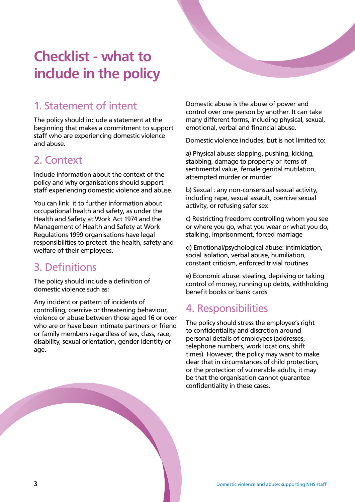# **Checklist - what to include in the policy**

### 1. Statement of intent

The policy should include a statement at the beginning that makes a commitment to support staff who are experiencing domestic violence and abuse.

#### 2. Context

Include information about the context of the policy and why organisations should support staff experiencing domestic violence and abuse.

You can link it to further information about occupational health and safety, as under the Health and Safety at Work Act 1974 and the Management of Health and Safety at Work Regulations 1999 organisations have legal responsibilities to protect the health, safety and welfare of their employees.

#### 3. Definitions

The policy should include a definition of domestic violence such as:

Any incident or pattern of incidents of controlling, coercive or threatening behaviour, violence or abuse between those aged 16 or over who are or have been intimate partners or friend or family members regardless of sex, class, race, disability, sexual orientation, gender identity or age.

Domestic abuse is the abuse of power and control over one person by another. It can take many different forms, including physical, sexual, emotional, verbal and financial abuse.

Domestic violence includes, but is not limited to:

a) Physical abuse: slapping, pushing, kicking, stabbing, damage to property or items of sentimental value, female genital mutilation, attempted murder or murder

b) Sexual : any non-consensual sexual activity, including rape, sexual assault, coercive sexual activity, or refusing safer sex

c) Restricting freedom: controlling whom you see or where you go, what you wear or what you do, stalking, imprisonment, forced marriage

d) Emotional/psychological abuse: intimidation, social isolation, verbal abuse, humiliation, constant criticism, enforced trivial routines

e) Economic abuse: stealing, depriving or taking control of money, running up debts, withholding benefit books or bank cards

#### 4. Responsibilities

The policy should stress the employee's right to confidentiality and discretion around personal details of employees (addresses, telephone numbers, work locations, shift times). However, the policy may want to make clear that in circumstances of child protection, or the protection of vulnerable adults, it may be that the organisation cannot guarantee confidentiality in these cases.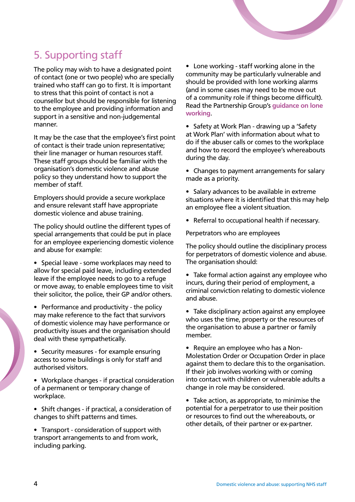

## 5. Supporting staff

The policy may wish to have a designated point **Care working - staff working** of contact (one or two people) who are specially community may be particular trained who staff can go to first. It is important should be provided v to stress that this point of contact is not a counsellor but should be responsible for listening to the employee and providing information and support in a sensitive and non-judgemental manner.

It may be the case that the employee's first point of contact is their trade union representative; their line manager or human resources staff. These staff groups should be familiar with the organisation's domestic violence and abuse policy so they understand how to support the member of staff.

Employers should provide a secure workplace and ensure relevant staff have appropriate domestic violence and abuse training.

The policy should outline the different types of special arrangements that could be put in place for an employee experiencing domestic violence and abuse for example:

• Special leave - some workplaces may need to allow for special paid leave, including extended leave if the employee needs to go to a refuge or move away, to enable employees time to visit their solicitor, the police, their GP and/or others.

• Performance and productivity - the policy may make reference to the fact that survivors of domestic violence may have performance or productivity issues and the organisation should deal with these sympathetically.

• Security measures - for example ensuring access to some buildings is only for staff and authorised visitors.

• Workplace changes - if practical consideration of a permanent or temporary change of workplace.

• Shift changes - if practical, a consideration of changes to shift patterns and times.

• Transport - consideration of support with transport arrangements to and from work, including parking.

• Lone working - staff working alone in the community may be particularly vulnerable and should be provided with lone working alarms (and in some cases may need to be move out of a community role if things become difficult). Read the Partnership Group's **[guidance on lone](http://www.nhsemployers.org/case-studies-and-resources/2013/10/improving-safety-for-lone-workers-a-guide-for-lone-workers)  [working](http://www.nhsemployers.org/case-studies-and-resources/2013/10/improving-safety-for-lone-workers-a-guide-for-lone-workers)**.

• Safety at Work Plan - drawing up a 'Safety at Work Plan' with information about what to do if the abuser calls or comes to the workplace and how to record the employee's whereabouts during the day.

• Changes to payment arrangements for salary made as a priority.

- Salary advances to be available in extreme situations where it is identified that this may help an employee flee a violent situation.
- Referral to occupational health if necessary.

Perpetrators who are employees

The policy should outline the disciplinary process for perpetrators of domestic violence and abuse. The organisation should:

• Take formal action against any employee who incurs, during their period of employment, a criminal conviction relating to domestic violence and abuse.

• Take disciplinary action against any employee who uses the time, property or the resources of the organisation to abuse a partner or family member.

• Require an employee who has a Non-Molestation Order or Occupation Order in place against them to declare this to the organisation. If their job involves working with or coming into contact with children or vulnerable adults a change in role may be considered.

• Take action, as appropriate, to minimise the potential for a perpetrator to use their position or resources to find out the whereabouts, or other details, of their partner or ex-partner.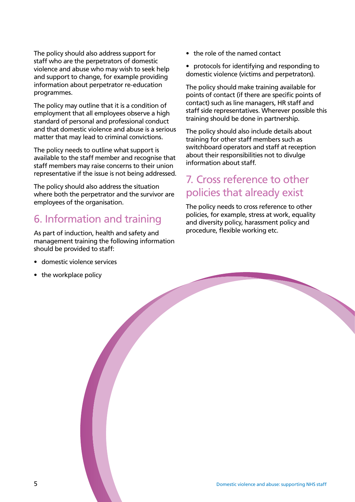The policy should also address support for staff who are the perpetrators of domestic violence and abuse who may wish to seek help and support to change, for example providing information about perpetrator re-education programmes.

The policy may outline that it is a condition of employment that all employees observe a high standard of personal and professional conduct and that domestic violence and abuse is a serious matter that may lead to criminal convictions.

The policy needs to outline what support is available to the staff member and recognise that staff members may raise concerns to their union representative if the issue is not being addressed.

The policy should also address the situation where both the perpetrator and the survivor are employees of the organisation.

#### 6. Information and training

As part of induction, health and safety and management training the following information should be provided to staff:

- domestic violence services
- the workplace policy
- the role of the named contact
- protocols for identifying and responding to domestic violence (victims and perpetrators).

The policy should make training available for points of contact (if there are specific points of contact) such as line managers, HR staff and staff side representatives. Wherever possible this training should be done in partnership.

The policy should also include details about training for other staff members such as switchboard operators and staff at reception about their responsibilities not to divulge information about staff.

#### 7. Cross reference to other policies that already exist

The policy needs to cross reference to other policies, for example, stress at work, equality and diversity policy, harassment policy and procedure, flexible working etc.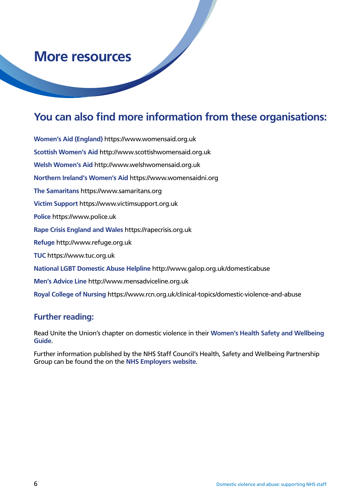## **More resources**

#### **You can also find more information from these organisations:**

**Women's Aid (England)** https://www.womensaid.org.uk **Scottish Women's Aid** http://www.scottishwomensaid.org.uk **Welsh Women's Aid** http://www.welshwomensaid.org.uk **Northern Ireland's Women's Aid** https://www.womensaidni.org **The Samaritans** https://www.samaritans.org **Victim Support** https://www.victimsupport.org.uk **Police** https://www.police.uk **Rape Crisis England and Wales** https://rapecrisis.org.uk **Refuge** http://www.refuge.org.uk **TUC** https://www.tuc.org.uk **National LGBT Domestic Abuse Helpline** http://www.galop.org.uk/domesticabuse **Men's Advice Line** http://www.mensadviceline.org.uk **Royal College of Nursing** https://www.rcn.org.uk/clinical-topics/domestic-violence-and-abuse

#### **Further reading:**

Read Unite the Union's chapter on domestic violence in their **[Women's Health Safety and Wellbeing](http://www.unitetheunion.org/uploaded/documents/Women)  [Guide](http://www.unitetheunion.org/uploaded/documents/Women)**.

Further information published by the NHS Staff Council's Health, Safety and Wellbeing Partnership Group can be found the on the **[NHS Employers website](http://www.nhsemployers.org/your-workforce/retain-and-improve/staff-experience/health-work-and-wellbeing/protecting-staff-and-preventing-ill-health/partnership-working-across-your-organisation/partnership-working-on-health-safety-and-wellbeing/hswpg-publications-advice-and-resources)**.